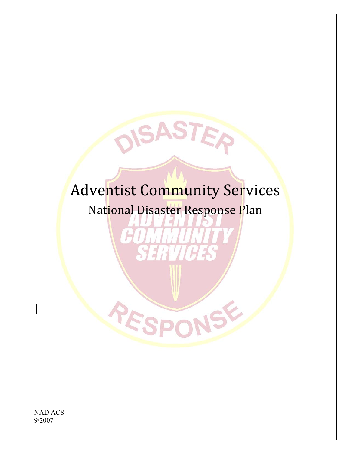# Adventist Community Services

SASTE

National Disaster Response Plan

YE

NAD ACS 9/2007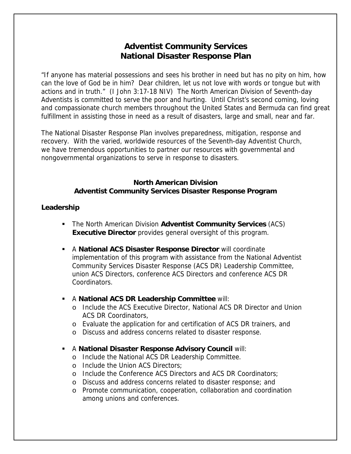# **Adventist Community Services National Disaster Response Plan**

"If anyone has material possessions and sees his brother in need but has no pity on him, how can the love of God be in him? Dear children, let us not love with words or tongue but with actions and in truth." (I John 3:17-18 NIV) The North American Division of Seventh-day Adventists is committed to serve the poor and hurting. Until Christ's second coming, loving and compassionate church members throughout the United States and Bermuda can find great fulfillment in assisting those in need as a result of disasters, large and small, near and far.

The National Disaster Response Plan involves preparedness, mitigation, response and recovery. With the varied, worldwide resources of the Seventh-day Adventist Church, we have tremendous opportunities to partner our resources with governmental and nongovernmental organizations to serve in response to disasters.

#### **North American Division Adventist Community Services Disaster Response Program**

#### **Leadership**

- The North American Division **Adventist Community Services** (ACS) **Executive Director** provides general oversight of this program.
- A **National ACS Disaster Response Director** will coordinate implementation of this program with assistance from the National Adventist Community Services Disaster Response (ACS DR) Leadership Committee, union ACS Directors, conference ACS Directors and conference ACS DR Coordinators.
- A **National ACS DR Leadership Committee** will:
	- o Include the ACS Executive Director, National ACS DR Director and Union ACS DR Coordinators,
	- o Evaluate the application for and certification of ACS DR trainers, and
	- o Discuss and address concerns related to disaster response.
- A **National Disaster Response Advisory Council** will:
	- o Include the National ACS DR Leadership Committee.
	- o Include the Union ACS Directors;
	- o Include the Conference ACS Directors and ACS DR Coordinators;
	- o Discuss and address concerns related to disaster response; and
	- o Promote communication, cooperation, collaboration and coordination among unions and conferences.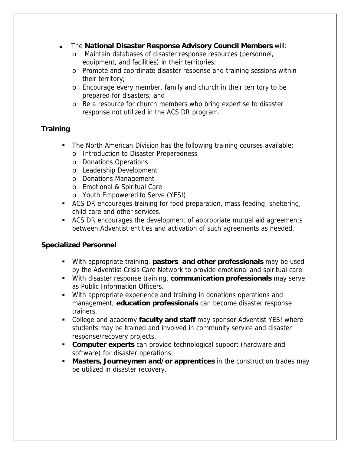- The **National Disaster Response Advisory Council Members** will:
	- o Maintain databases of disaster response resources (personnel, equipment, and facilities) in their territories;
	- o Promote and coordinate disaster response and training sessions within their territory;
	- o Encourage every member, family and church in their territory to be prepared for disasters; and
	- o Be a resource for church members who bring expertise to disaster response not utilized in the ACS DR program.

# **Training**

- The North American Division has the following training courses available:
	- o Introduction to Disaster Preparedness
	- o Donations Operations
	- o Leadership Development
	- o Donations Management
	- o Emotional & Spiritual Care
	- o Youth Empowered to Serve (YES!)
- ACS DR encourages training for food preparation, mass feeding, sheltering, child care and other services.
- ACS DR encourages the development of appropriate mutual aid agreements between Adventist entities and activation of such agreements as needed.

# **Specialized Personnel**

- With appropriate training, **pastors and other professionals** may be used by the Adventist Crisis Care Network to provide emotional and spiritual care.
- With disaster response training, **communication professionals** may serve as Public Information Officers.
- With appropriate experience and training in donations operations and management, **education professionals** can become disaster response trainers.
- College and academy **faculty and staff** may sponsor Adventist YES! where students may be trained and involved in community service and disaster response/recovery projects.
- **Computer experts** can provide technological support (hardware and software) for disaster operations.
- **Masters, Journeymen and/or apprentices** in the construction trades may be utilized in disaster recovery.